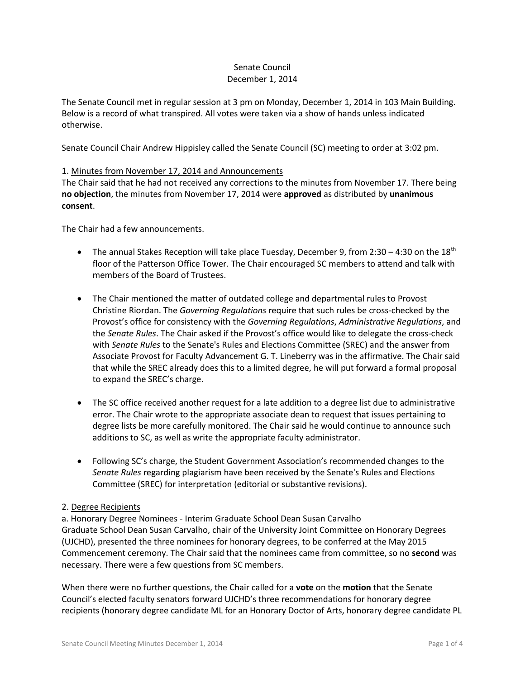### Senate Council December 1, 2014

The Senate Council met in regular session at 3 pm on Monday, December 1, 2014 in 103 Main Building. Below is a record of what transpired. All votes were taken via a show of hands unless indicated otherwise.

Senate Council Chair Andrew Hippisley called the Senate Council (SC) meeting to order at 3:02 pm.

# 1. Minutes from November 17, 2014 and Announcements

The Chair said that he had not received any corrections to the minutes from November 17. There being **no objection**, the minutes from November 17, 2014 were **approved** as distributed by **unanimous consent**.

The Chair had a few announcements.

- The annual Stakes Reception will take place Tuesday, December 9, from 2:30 4:30 on the 18<sup>th</sup> floor of the Patterson Office Tower. The Chair encouraged SC members to attend and talk with members of the Board of Trustees.
- The Chair mentioned the matter of outdated college and departmental rules to Provost Christine Riordan. The *Governing Regulations* require that such rules be cross-checked by the Provost's office for consistency with the *Governing Regulations*, *Administrative Regulations*, and the *Senate Rules*. The Chair asked if the Provost's office would like to delegate the cross-check with *Senate Rules* to the Senate's Rules and Elections Committee (SREC) and the answer from Associate Provost for Faculty Advancement G. T. Lineberry was in the affirmative. The Chair said that while the SREC already does this to a limited degree, he will put forward a formal proposal to expand the SREC's charge.
- The SC office received another request for a late addition to a degree list due to administrative error. The Chair wrote to the appropriate associate dean to request that issues pertaining to degree lists be more carefully monitored. The Chair said he would continue to announce such additions to SC, as well as write the appropriate faculty administrator.
- Following SC's charge, the Student Government Association's recommended changes to the *Senate Rules* regarding plagiarism have been received by the Senate's Rules and Elections Committee (SREC) for interpretation (editorial or substantive revisions).

### 2. Degree Recipients

a. Honorary Degree Nominees - Interim Graduate School Dean Susan Carvalho Graduate School Dean Susan Carvalho, chair of the University Joint Committee on Honorary Degrees (UJCHD), presented the three nominees for honorary degrees, to be conferred at the May 2015 Commencement ceremony. The Chair said that the nominees came from committee, so no **second** was necessary. There were a few questions from SC members.

When there were no further questions, the Chair called for a **vote** on the **motion** that the Senate Council's elected faculty senators forward UJCHD's three recommendations for honorary degree recipients (honorary degree candidate ML for an Honorary Doctor of Arts, honorary degree candidate PL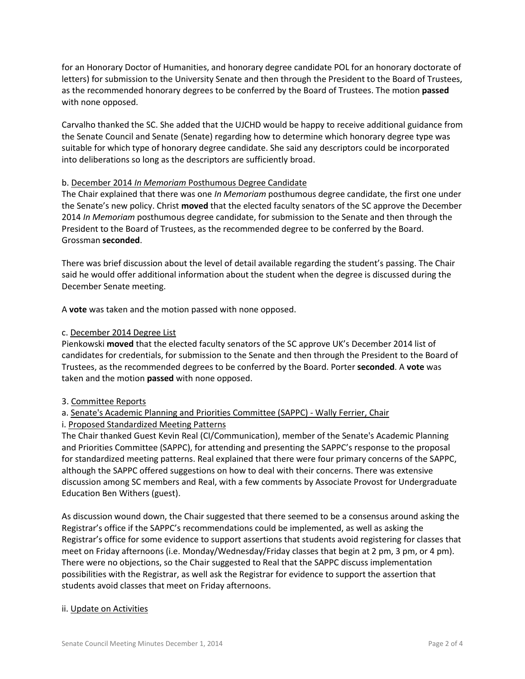for an Honorary Doctor of Humanities, and honorary degree candidate POL for an honorary doctorate of letters) for submission to the University Senate and then through the President to the Board of Trustees, as the recommended honorary degrees to be conferred by the Board of Trustees. The motion **passed** with none opposed.

Carvalho thanked the SC. She added that the UJCHD would be happy to receive additional guidance from the Senate Council and Senate (Senate) regarding how to determine which honorary degree type was suitable for which type of honorary degree candidate. She said any descriptors could be incorporated into deliberations so long as the descriptors are sufficiently broad.

### b. December 2014 *In Memoriam* Posthumous Degree Candidate

The Chair explained that there was one *In Memoriam* posthumous degree candidate, the first one under the Senate's new policy. Christ **moved** that the elected faculty senators of the SC approve the December 2014 *In Memoriam* posthumous degree candidate, for submission to the Senate and then through the President to the Board of Trustees, as the recommended degree to be conferred by the Board. Grossman **seconded**.

There was brief discussion about the level of detail available regarding the student's passing. The Chair said he would offer additional information about the student when the degree is discussed during the December Senate meeting.

A **vote** was taken and the motion passed with none opposed.

### c. December 2014 Degree List

Pienkowski **moved** that the elected faculty senators of the SC approve UK's December 2014 list of candidates for credentials, for submission to the Senate and then through the President to the Board of Trustees, as the recommended degrees to be conferred by the Board. Porter **seconded**. A **vote** was taken and the motion **passed** with none opposed.

### 3. Committee Reports

# a. Senate's Academic Planning and Priorities Committee (SAPPC) - Wally Ferrier, Chair

# i. Proposed Standardized Meeting Patterns

The Chair thanked Guest Kevin Real (CI/Communication), member of the Senate's Academic Planning and Priorities Committee (SAPPC), for attending and presenting the SAPPC's response to the proposal for standardized meeting patterns. Real explained that there were four primary concerns of the SAPPC, although the SAPPC offered suggestions on how to deal with their concerns. There was extensive discussion among SC members and Real, with a few comments by Associate Provost for Undergraduate Education Ben Withers (guest).

As discussion wound down, the Chair suggested that there seemed to be a consensus around asking the Registrar's office if the SAPPC's recommendations could be implemented, as well as asking the Registrar's office for some evidence to support assertions that students avoid registering for classes that meet on Friday afternoons (i.e. Monday/Wednesday/Friday classes that begin at 2 pm, 3 pm, or 4 pm). There were no objections, so the Chair suggested to Real that the SAPPC discuss implementation possibilities with the Registrar, as well ask the Registrar for evidence to support the assertion that students avoid classes that meet on Friday afternoons.

### ii. Update on Activities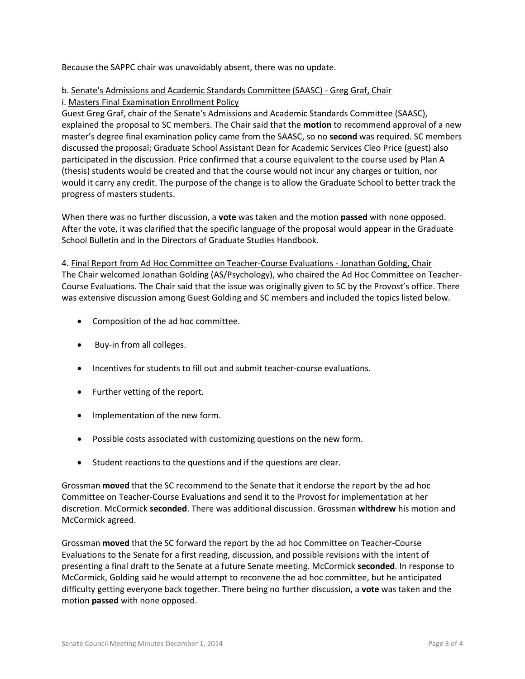Because the SAPPC chair was unavoidably absent, there was no update.

# b. Senate's Admissions and Academic Standards Committee (SAASC) - Greg Graf, Chair i. Masters Final Examination Enrollment Policy

Guest Greg Graf, chair of the Senate's Admissions and Academic Standards Committee (SAASC), explained the proposal to SC members. The Chair said that the **motion** to recommend approval of a new master's degree final examination policy came from the SAASC, so no **second** was required. SC members discussed the proposal; Graduate School Assistant Dean for Academic Services Cleo Price (guest) also participated in the discussion. Price confirmed that a course equivalent to the course used by Plan A (thesis) students would be created and that the course would not incur any charges or tuition, nor would it carry any credit. The purpose of the change is to allow the Graduate School to better track the progress of masters students.

When there was no further discussion, a **vote** was taken and the motion **passed** with none opposed. After the vote, it was clarified that the specific language of the proposal would appear in the Graduate School Bulletin and in the Directors of Graduate Studies Handbook.

4. Final Report from Ad Hoc Committee on Teacher-Course Evaluations - Jonathan Golding, Chair The Chair welcomed Jonathan Golding (AS/Psychology), who chaired the Ad Hoc Committee on Teacher-Course Evaluations. The Chair said that the issue was originally given to SC by the Provost's office. There was extensive discussion among Guest Golding and SC members and included the topics listed below.

- Composition of the ad hoc committee.
- Buy-in from all colleges.
- Incentives for students to fill out and submit teacher-course evaluations.
- Further vetting of the report.
- Implementation of the new form.
- Possible costs associated with customizing questions on the new form.
- Student reactions to the questions and if the questions are clear.

Grossman **moved** that the SC recommend to the Senate that it endorse the report by the ad hoc Committee on Teacher-Course Evaluations and send it to the Provost for implementation at her discretion. McCormick **seconded**. There was additional discussion. Grossman **withdrew** his motion and McCormick agreed.

Grossman **moved** that the SC forward the report by the ad hoc Committee on Teacher-Course Evaluations to the Senate for a first reading, discussion, and possible revisions with the intent of presenting a final draft to the Senate at a future Senate meeting. McCormick **seconded**. In response to McCormick, Golding said he would attempt to reconvene the ad hoc committee, but he anticipated difficulty getting everyone back together. There being no further discussion, a **vote** was taken and the motion **passed** with none opposed.